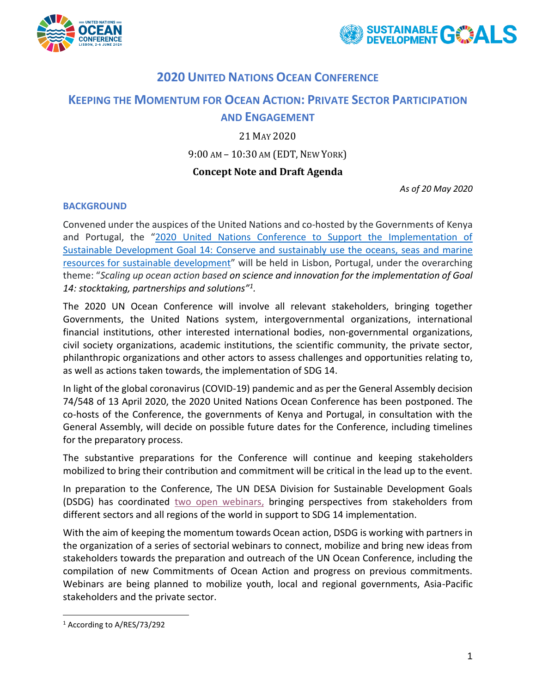



# **2020 UNITED NATIONS OCEAN CONFERENCE**

# **KEEPING THE MOMENTUM FOR OCEAN ACTION: PRIVATE SECTOR PARTICIPATION**

# **AND ENGAGEMENT**

# 21 MAY 2020

# 9:00 AM – 10:30 AM (EDT, NEW YORK)

# **Concept Note and Draft Agenda**

*As of 20 May 2020*

#### **BACKGROUND**

Convened under the auspices of the United Nations and co-hosted by the Governments of Kenya and Portugal, the "[2020 United Nations Conference to Support the Implementation of](https://www.un.org/en/conferences/ocean2020)  [Sustainable Development Goal 14: Conserve and sustainably use the oceans, seas and marine](https://www.un.org/en/conferences/ocean2020)  [resources for sustainable development](https://www.un.org/en/conferences/ocean2020)" will be held in Lisbon, Portugal, under the overarching theme: "*Scaling up ocean action based on science and innovation for the implementation of Goal 14: stocktaking, partnerships and solutions"<sup>1</sup> .*

The 2020 UN Ocean Conference will involve all relevant stakeholders, bringing together Governments, the United Nations system, intergovernmental organizations, international financial institutions, other interested international bodies, non-governmental organizations, civil society organizations, academic institutions, the scientific community, the private sector, philanthropic organizations and other actors to assess challenges and opportunities relating to, as well as actions taken towards, the implementation of SDG 14.

In light of the global coronavirus (COVID-19) pandemic and as per the General Assembly decision 74/548 of 13 April 2020, the 2020 United Nations Ocean Conference has been postponed. The co-hosts of the Conference, the governments of Kenya and Portugal, in consultation with the General Assembly, will decide on possible future dates for the Conference, including timelines for the preparatory process.

The substantive preparations for the Conference will continue and keeping stakeholders mobilized to bring their contribution and commitment will be critical in the lead up to the event.

In preparation to the Conference, The UN DESA Division for Sustainable Development Goals (DSDG) has coordinated [two open webinars,](https://www.un.org/en/conferences/ocean2020/preparation/stakeholders) bringing perspectives from stakeholders from different sectors and all regions of the world in support to SDG 14 implementation.

With the aim of keeping the momentum towards Ocean action, DSDG is working with partners in the organization of a series of sectorial webinars to connect, mobilize and bring new ideas from stakeholders towards the preparation and outreach of the UN Ocean Conference, including the compilation of new Commitments of Ocean Action and progress on previous commitments. Webinars are being planned to mobilize youth, local and regional governments, Asia-Pacific stakeholders and the private sector.

<sup>1</sup> According to A/RES/73/292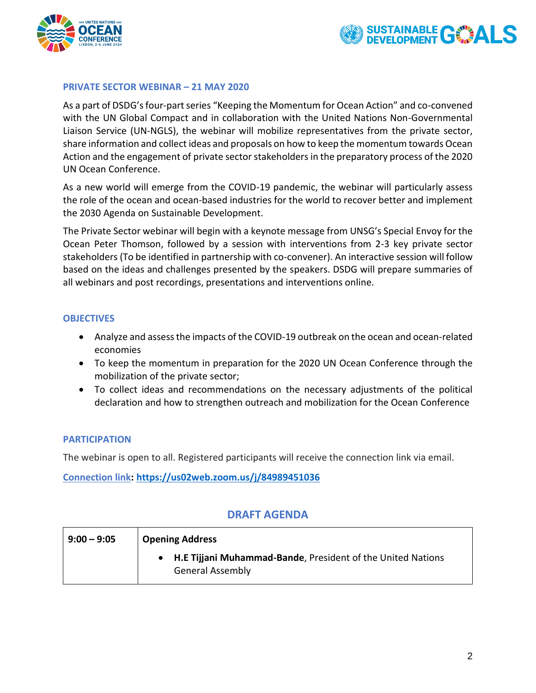



#### **PRIVATE SECTOR WEBINAR – 21 MAY 2020**

As a part of DSDG's four-part series "Keeping the Momentum for Ocean Action" and co-convened with the UN Global Compact and in collaboration with the United Nations Non-Governmental Liaison Service (UN-NGLS), the webinar will mobilize representatives from the private sector, share information and collect ideas and proposals on how to keep the momentum towards Ocean Action and the engagement of private sector stakeholders in the preparatory process of the 2020 UN Ocean Conference.

As a new world will emerge from the COVID-19 pandemic, the webinar will particularly assess the role of the ocean and ocean-based industries for the world to recover better and implement the 2030 Agenda on Sustainable Development.

The Private Sector webinar will begin with a keynote message from UNSG's Special Envoy for the Ocean Peter Thomson, followed by a session with interventions from 2-3 key private sector stakeholders (To be identified in partnership with co-convener). An interactive session will follow based on the ideas and challenges presented by the speakers. DSDG will prepare summaries of all webinars and post recordings, presentations and interventions online.

#### **OBJECTIVES**

- Analyze and assess the impacts of the COVID-19 outbreak on the ocean and ocean-related economies
- To keep the momentum in preparation for the 2020 UN Ocean Conference through the mobilization of the private sector;
- To collect ideas and recommendations on the necessary adjustments of the political declaration and how to strengthen outreach and mobilization for the Ocean Conference

#### **PARTICIPATION**

The webinar is open to all. Registered participants will receive the connection link via email.

**Connection link: <https://us02web.zoom.us/j/84989451036>**

# **DRAFT AGENDA**

| $9:00 - 9:05$ | <b>Opening Address</b>                                                                   |
|---------------|------------------------------------------------------------------------------------------|
|               | • H.E Tijjani Muhammad-Bande, President of the United Nations<br><b>General Assembly</b> |